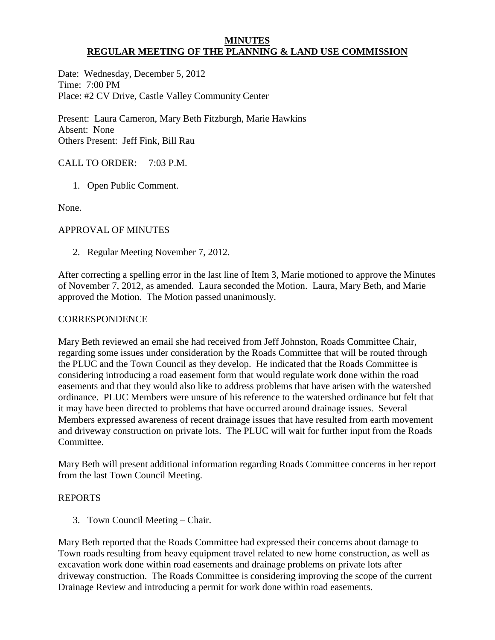#### **MINUTES REGULAR MEETING OF THE PLANNING & LAND USE COMMISSION**

Date: Wednesday, December 5, 2012 Time: 7:00 PM Place: #2 CV Drive, Castle Valley Community Center

Present: Laura Cameron, Mary Beth Fitzburgh, Marie Hawkins Absent: None Others Present: Jeff Fink, Bill Rau

# CALL TO ORDER: 7:03 P.M.

1. Open Public Comment.

None.

## APPROVAL OF MINUTES

2. Regular Meeting November 7, 2012.

After correcting a spelling error in the last line of Item 3, Marie motioned to approve the Minutes of November 7, 2012, as amended. Laura seconded the Motion. Laura, Mary Beth, and Marie approved the Motion. The Motion passed unanimously.

## **CORRESPONDENCE**

Mary Beth reviewed an email she had received from Jeff Johnston, Roads Committee Chair, regarding some issues under consideration by the Roads Committee that will be routed through the PLUC and the Town Council as they develop. He indicated that the Roads Committee is considering introducing a road easement form that would regulate work done within the road easements and that they would also like to address problems that have arisen with the watershed ordinance. PLUC Members were unsure of his reference to the watershed ordinance but felt that it may have been directed to problems that have occurred around drainage issues. Several Members expressed awareness of recent drainage issues that have resulted from earth movement and driveway construction on private lots. The PLUC will wait for further input from the Roads Committee.

Mary Beth will present additional information regarding Roads Committee concerns in her report from the last Town Council Meeting.

## REPORTS

3. Town Council Meeting – Chair.

Mary Beth reported that the Roads Committee had expressed their concerns about damage to Town roads resulting from heavy equipment travel related to new home construction, as well as excavation work done within road easements and drainage problems on private lots after driveway construction. The Roads Committee is considering improving the scope of the current Drainage Review and introducing a permit for work done within road easements.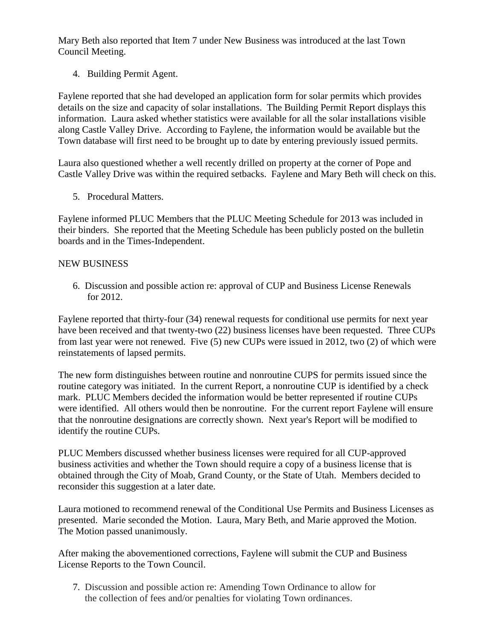Mary Beth also reported that Item 7 under New Business was introduced at the last Town Council Meeting.

4. Building Permit Agent.

Faylene reported that she had developed an application form for solar permits which provides details on the size and capacity of solar installations. The Building Permit Report displays this information. Laura asked whether statistics were available for all the solar installations visible along Castle Valley Drive. According to Faylene, the information would be available but the Town database will first need to be brought up to date by entering previously issued permits.

Laura also questioned whether a well recently drilled on property at the corner of Pope and Castle Valley Drive was within the required setbacks. Faylene and Mary Beth will check on this.

5. Procedural Matters.

Faylene informed PLUC Members that the PLUC Meeting Schedule for 2013 was included in their binders. She reported that the Meeting Schedule has been publicly posted on the bulletin boards and in the Times-Independent.

## NEW BUSINESS

 6. Discussion and possible action re: approval of CUP and Business License Renewals for 2012.

Faylene reported that thirty-four (34) renewal requests for conditional use permits for next year have been received and that twenty-two (22) business licenses have been requested. Three CUPs from last year were not renewed. Five (5) new CUPs were issued in 2012, two (2) of which were reinstatements of lapsed permits.

The new form distinguishes between routine and nonroutine CUPS for permits issued since the routine category was initiated. In the current Report, a nonroutine CUP is identified by a check mark. PLUC Members decided the information would be better represented if routine CUPs were identified. All others would then be nonroutine. For the current report Faylene will ensure that the nonroutine designations are correctly shown. Next year's Report will be modified to identify the routine CUPs.

PLUC Members discussed whether business licenses were required for all CUP-approved business activities and whether the Town should require a copy of a business license that is obtained through the City of Moab, Grand County, or the State of Utah. Members decided to reconsider this suggestion at a later date.

Laura motioned to recommend renewal of the Conditional Use Permits and Business Licenses as presented. Marie seconded the Motion. Laura, Mary Beth, and Marie approved the Motion. The Motion passed unanimously.

After making the abovementioned corrections, Faylene will submit the CUP and Business License Reports to the Town Council.

 7. Discussion and possible action re: Amending Town Ordinance to allow for the collection of fees and/or penalties for violating Town ordinances.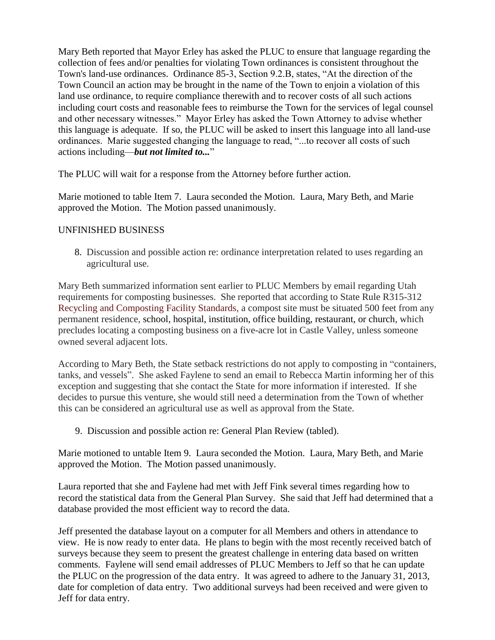Mary Beth reported that Mayor Erley has asked the PLUC to ensure that language regarding the collection of fees and/or penalties for violating Town ordinances is consistent throughout the Town's land-use ordinances. Ordinance 85-3, Section 9.2.B, states, "At the direction of the Town Council an action may be brought in the name of the Town to enjoin a violation of this land use ordinance, to require compliance therewith and to recover costs of all such actions including court costs and reasonable fees to reimburse the Town for the services of legal counsel and other necessary witnesses." Mayor Erley has asked the Town Attorney to advise whether this language is adequate. If so, the PLUC will be asked to insert this language into all land-use ordinances. Marie suggested changing the language to read, "...to recover all costs of such actions including—*but not limited to...*"

The PLUC will wait for a response from the Attorney before further action.

Marie motioned to table Item 7. Laura seconded the Motion. Laura, Mary Beth, and Marie approved the Motion. The Motion passed unanimously.

## UNFINISHED BUSINESS

8. Discussion and possible action re: ordinance interpretation related to uses regarding an agricultural use.

Mary Beth summarized information sent earlier to PLUC Members by email regarding Utah requirements for composting businesses. She reported that according to State Rule R315-312 Recycling and Composting Facility Standards, a compost site must be situated 500 feet from any permanent residence, school, hospital, institution, office building, restaurant, or church, which precludes locating a composting business on a five-acre lot in Castle Valley, unless someone owned several adjacent lots.

According to Mary Beth, the State setback restrictions do not apply to composting in "containers, tanks, and vessels". She asked Faylene to send an email to Rebecca Martin informing her of this exception and suggesting that she contact the State for more information if interested. If she decides to pursue this venture, she would still need a determination from the Town of whether this can be considered an agricultural use as well as approval from the State.

9. Discussion and possible action re: General Plan Review (tabled).

Marie motioned to untable Item 9. Laura seconded the Motion. Laura, Mary Beth, and Marie approved the Motion. The Motion passed unanimously.

Laura reported that she and Faylene had met with Jeff Fink several times regarding how to record the statistical data from the General Plan Survey. She said that Jeff had determined that a database provided the most efficient way to record the data.

Jeff presented the database layout on a computer for all Members and others in attendance to view. He is now ready to enter data. He plans to begin with the most recently received batch of surveys because they seem to present the greatest challenge in entering data based on written comments. Faylene will send email addresses of PLUC Members to Jeff so that he can update the PLUC on the progression of the data entry. It was agreed to adhere to the January 31, 2013, date for completion of data entry. Two additional surveys had been received and were given to Jeff for data entry.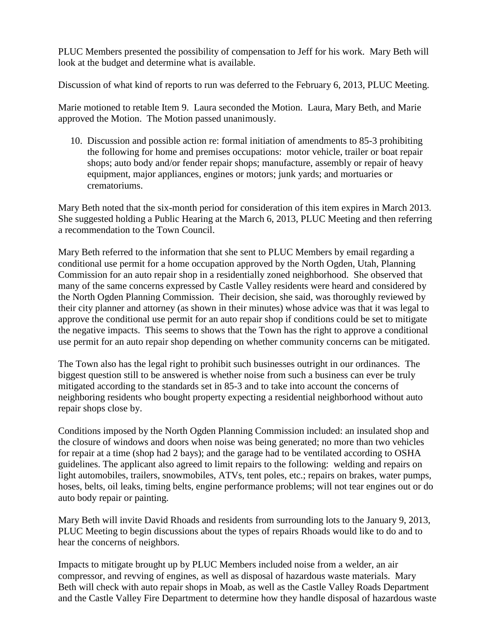PLUC Members presented the possibility of compensation to Jeff for his work. Mary Beth will look at the budget and determine what is available.

Discussion of what kind of reports to run was deferred to the February 6, 2013, PLUC Meeting.

Marie motioned to retable Item 9. Laura seconded the Motion. Laura, Mary Beth, and Marie approved the Motion. The Motion passed unanimously.

 10. Discussion and possible action re: formal initiation of amendments to 85-3 prohibiting the following for home and premises occupations: motor vehicle, trailer or boat repair shops; auto body and/or fender repair shops; manufacture, assembly or repair of heavy equipment, major appliances, engines or motors; junk yards; and mortuaries or crematoriums.

Mary Beth noted that the six-month period for consideration of this item expires in March 2013. She suggested holding a Public Hearing at the March 6, 2013, PLUC Meeting and then referring a recommendation to the Town Council.

Mary Beth referred to the information that she sent to PLUC Members by email regarding a conditional use permit for a home occupation approved by the North Ogden, Utah, Planning Commission for an auto repair shop in a residentially zoned neighborhood. She observed that many of the same concerns expressed by Castle Valley residents were heard and considered by the North Ogden Planning Commission. Their decision, she said, was thoroughly reviewed by their city planner and attorney (as shown in their minutes) whose advice was that it was legal to approve the conditional use permit for an auto repair shop if conditions could be set to mitigate the negative impacts. This seems to shows that the Town has the right to approve a conditional use permit for an auto repair shop depending on whether community concerns can be mitigated.

The Town also has the legal right to prohibit such businesses outright in our ordinances. The biggest question still to be answered is whether noise from such a business can ever be truly mitigated according to the standards set in 85-3 and to take into account the concerns of neighboring residents who bought property expecting a residential neighborhood without auto repair shops close by.

Conditions imposed by the North Ogden Planning Commission included: an insulated shop and the closure of windows and doors when noise was being generated; no more than two vehicles for repair at a time (shop had 2 bays); and the garage had to be ventilated according to OSHA guidelines. The applicant also agreed to limit repairs to the following: welding and repairs on light automobiles, trailers, snowmobiles, ATVs, tent poles, etc.; repairs on brakes, water pumps, hoses, belts, oil leaks, timing belts, engine performance problems; will not tear engines out or do auto body repair or painting.

Mary Beth will invite David Rhoads and residents from surrounding lots to the January 9, 2013, PLUC Meeting to begin discussions about the types of repairs Rhoads would like to do and to hear the concerns of neighbors.

Impacts to mitigate brought up by PLUC Members included noise from a welder, an air compressor, and revving of engines, as well as disposal of hazardous waste materials. Mary Beth will check with auto repair shops in Moab, as well as the Castle Valley Roads Department and the Castle Valley Fire Department to determine how they handle disposal of hazardous waste